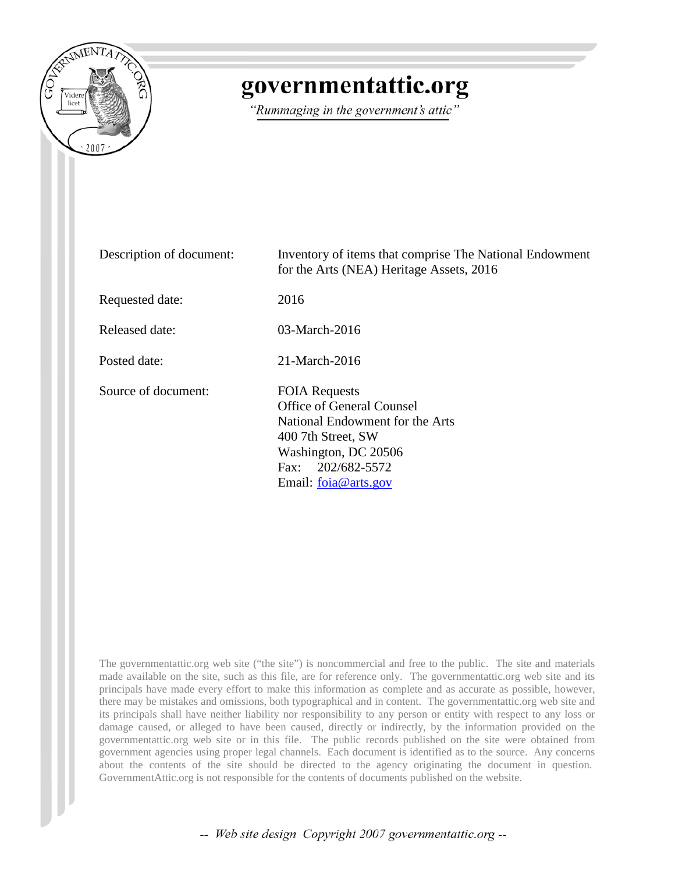

# governmentattic.org

"Rummaging in the government's attic"

| Description of document: | Inventory of items that comprise The National Endowment<br>for the Arts (NEA) Heritage Assets, 2016                                                                                    |
|--------------------------|----------------------------------------------------------------------------------------------------------------------------------------------------------------------------------------|
| Requested date:          | 2016                                                                                                                                                                                   |
| Released date:           | 03-March-2016                                                                                                                                                                          |
| Posted date:             | 21-March-2016                                                                                                                                                                          |
| Source of document:      | <b>FOIA Requests</b><br>Office of General Counsel<br>National Endowment for the Arts<br>400 7th Street, SW<br>Washington, DC 20506<br>202/682-5572<br>Fax:<br>Email: $f$ oja@ arts.gov |

The governmentattic.org web site ("the site") is noncommercial and free to the public. The site and materials made available on the site, such as this file, are for reference only. The governmentattic.org web site and its principals have made every effort to make this information as complete and as accurate as possible, however, there may be mistakes and omissions, both typographical and in content. The governmentattic.org web site and its principals shall have neither liability nor responsibility to any person or entity with respect to any loss or damage caused, or alleged to have been caused, directly or indirectly, by the information provided on the governmentattic.org web site or in this file. The public records published on the site were obtained from government agencies using proper legal channels. Each document is identified as to the source. Any concerns about the contents of the site should be directed to the agency originating the document in question. GovernmentAttic.org is not responsible for the contents of documents published on the website.

-- Web site design Copyright 2007 governmentattic.org --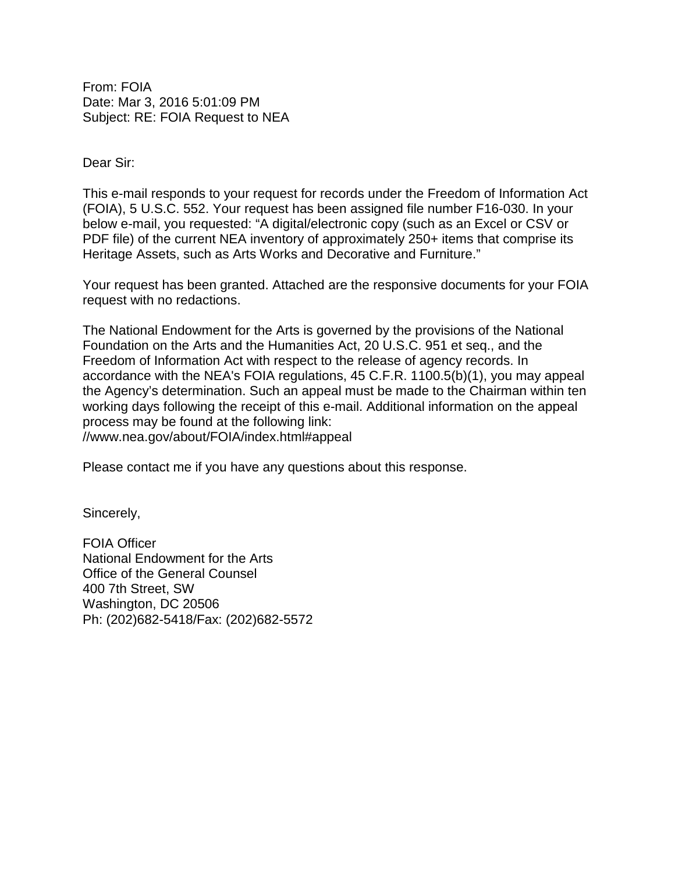From: FOIA Date: Mar 3, 2016 5:01:09 PM Subject: RE: FOIA Request to NEA

Dear Sir:

This e-mail responds to your request for records under the Freedom of Information Act (FOIA), 5 U.S.C. 552. Your request has been assigned file number F16-030. In your below e-mail, you requested: "A digital/electronic copy (such as an Excel or CSV or PDF file) of the current NEA inventory of approximately 250+ items that comprise its Heritage Assets, such as Arts Works and Decorative and Furniture."

Your request has been granted. Attached are the responsive documents for your FOIA request with no redactions.

The National Endowment for the Arts is governed by the provisions of the National Foundation on the Arts and the Humanities Act, 20 U.S.C. 951 et seq., and the Freedom of Information Act with respect to the release of agency records. In accordance with the NEA's FOIA regulations, 45 C.F.R. 1100.5(b)(1), you may appeal the Agency's determination. Such an appeal must be made to the Chairman within ten working days following the receipt of this e-mail. Additional information on the appeal process may be found at the following link: //www.nea.gov/about/FOIA/index.html#appeal

Please contact me if you have any questions about this response.

Sincerely,

FOIA Officer National Endowment for the Arts Office of the General Counsel 400 7th Street, SW Washington, DC 20506 Ph: (202)682-5418/Fax: (202)682-5572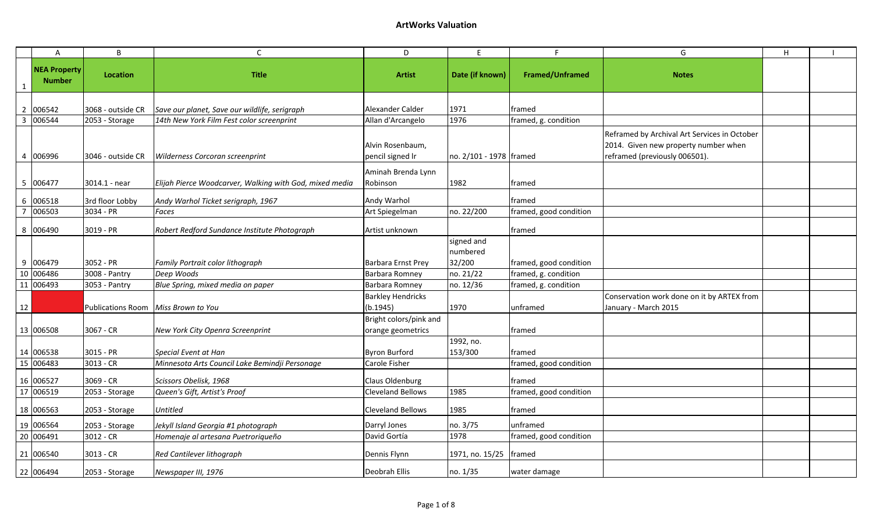|    | $\overline{A}$                       | B                                   | $\mathsf{C}$                                            | D                                                                                                                                                                                        | E                  |                        | G                                          | H |  |
|----|--------------------------------------|-------------------------------------|---------------------------------------------------------|------------------------------------------------------------------------------------------------------------------------------------------------------------------------------------------|--------------------|------------------------|--------------------------------------------|---|--|
|    | <b>NEA Property</b><br><b>Number</b> | Location                            | <b>Title</b>                                            | <b>Artist</b>                                                                                                                                                                            | Date (if known)    | <b>Framed/Unframed</b> | <b>Notes</b>                               |   |  |
|    |                                      |                                     |                                                         |                                                                                                                                                                                          |                    |                        |                                            |   |  |
|    | 2 006542                             | 3068 - outside CR                   | Save our planet, Save our wildlife, serigraph           | Alexander Calder                                                                                                                                                                         | 1971               | framed                 |                                            |   |  |
| 3  | 006544                               | 2053 - Storage                      | 14th New York Film Fest color screenprint               | Allan d'Arcangelo                                                                                                                                                                        | 1976               | framed, g. condition   |                                            |   |  |
|    | 4 006996                             | 3046 - outside CR                   | Wilderness Corcoran screenprint                         | Reframed by Archival Art Services in October<br>2014. Given new property number when<br>Alvin Rosenbaum,<br>pencil signed Ir<br>no. 2/101 - 1978 framed<br>reframed (previously 006501). |                    |                        |                                            |   |  |
|    |                                      |                                     |                                                         | Aminah Brenda Lynn                                                                                                                                                                       |                    |                        |                                            |   |  |
|    | 5 006477                             | 3014.1 - near                       | Elijah Pierce Woodcarver, Walking with God, mixed media | Robinson                                                                                                                                                                                 | 1982               | framed                 |                                            |   |  |
| 6  | 006518                               | 3rd floor Lobby                     | Andy Warhol Ticket serigraph, 1967                      | Andy Warhol                                                                                                                                                                              |                    | framed                 |                                            |   |  |
|    | 006503                               | 3034 - PR                           | Faces                                                   | Art Spiegelman                                                                                                                                                                           | no. 22/200         | framed, good condition |                                            |   |  |
|    |                                      |                                     |                                                         |                                                                                                                                                                                          |                    |                        |                                            |   |  |
|    | 8 006490                             | 3019 - PR                           | Robert Redford Sundance Institute Photograph            | Artist unknown                                                                                                                                                                           |                    | framed                 |                                            |   |  |
|    |                                      |                                     |                                                         |                                                                                                                                                                                          | signed and         |                        |                                            |   |  |
|    | 9 006479                             | 3052 - PR                           |                                                         | Barbara Ernst Prey                                                                                                                                                                       | numbered<br>32/200 | framed, good condition |                                            |   |  |
|    | 10 006486                            | 3008 - Pantry                       | Family Portrait color lithograph<br>Deep Woods          | Barbara Romney                                                                                                                                                                           | no. 21/22          | framed, g. condition   |                                            |   |  |
|    | 11 006493                            | 3053 - Pantry                       | Blue Spring, mixed media on paper                       | Barbara Romney                                                                                                                                                                           | no. 12/36          | framed, g. condition   |                                            |   |  |
|    |                                      |                                     |                                                         | <b>Barkley Hendricks</b>                                                                                                                                                                 |                    |                        | Conservation work done on it by ARTEX from |   |  |
| 12 |                                      | Publications Room Miss Brown to You |                                                         | (b.1945)                                                                                                                                                                                 | 1970               | unframed               | January - March 2015                       |   |  |
|    |                                      |                                     |                                                         | Bright colors/pink and                                                                                                                                                                   |                    |                        |                                            |   |  |
|    | 13 006508                            | 3067 - CR                           | New York City Openra Screenprint                        | orange geometrics                                                                                                                                                                        |                    | framed                 |                                            |   |  |
|    |                                      |                                     |                                                         |                                                                                                                                                                                          | 1992, no.          |                        |                                            |   |  |
|    | 14 006538                            | 3015 - PR                           | Special Event at Han                                    | <b>Byron Burford</b>                                                                                                                                                                     | 153/300            | framed                 |                                            |   |  |
|    | 15 006483                            | $3013 - CR$                         | Minnesota Arts Council Lake Bemindji Personage          | Carole Fisher                                                                                                                                                                            |                    | framed, good condition |                                            |   |  |
|    | 16 006527                            | $3069 - CR$                         | Scissors Obelisk, 1968                                  | Claus Oldenburg                                                                                                                                                                          |                    | framed                 |                                            |   |  |
|    | 17 006519                            | 2053 - Storage                      | Queen's Gift, Artist's Proof                            | <b>Cleveland Bellows</b>                                                                                                                                                                 | 1985               | framed, good condition |                                            |   |  |
|    | 18 006563                            | 2053 - Storage                      | <b>Untitled</b>                                         | <b>Cleveland Bellows</b>                                                                                                                                                                 | 1985               | framed                 |                                            |   |  |
|    | 19 006564                            | 2053 - Storage                      | Jekyll Island Georgia #1 photograph                     | Darryl Jones                                                                                                                                                                             | no. 3/75           | unframed               |                                            |   |  |
|    | 20 006491                            | $3012 - CR$                         | Homenaje al artesana Puetroriqueño                      | David Gortía                                                                                                                                                                             | 1978               | framed, good condition |                                            |   |  |
|    | 21 006540                            | $3013 - CR$                         | Red Cantilever lithograph                               | Dennis Flynn                                                                                                                                                                             | 1971, no. 15/25    | framed                 |                                            |   |  |
|    | 22 006494                            | 2053 - Storage                      | Newspaper III, 1976                                     | Deobrah Ellis                                                                                                                                                                            | no. 1/35           | water damage           |                                            |   |  |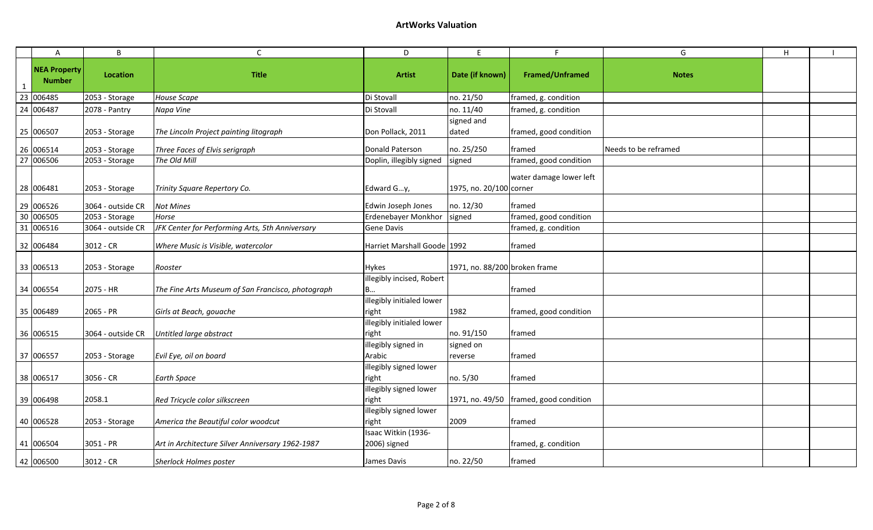| $\mathsf{A}$                         | B                 | $\mathsf{C}$                                      | D                                   | E                             |                         | G                    | $\mathsf H$ |  |
|--------------------------------------|-------------------|---------------------------------------------------|-------------------------------------|-------------------------------|-------------------------|----------------------|-------------|--|
| <b>NEA Property</b><br><b>Number</b> | Location          | <b>Title</b>                                      | <b>Artist</b>                       | Date (if known)               | <b>Framed/Unframed</b>  | <b>Notes</b>         |             |  |
| 23 006485                            | 2053 - Storage    | House Scape                                       | Di Stovall                          | no. 21/50                     | framed, g. condition    |                      |             |  |
| 24 006487                            | 2078 - Pantry     | Napa Vine                                         | Di Stovall                          | no. 11/40                     | framed, g. condition    |                      |             |  |
| 25 006507                            | 2053 - Storage    | The Lincoln Project painting litograph            | Don Pollack, 2011                   | signed and<br>dated           | framed, good condition  |                      |             |  |
| 26 006514                            | 2053 - Storage    | Three Faces of Elvis serigraph                    | <b>Donald Paterson</b>              | no. 25/250                    | framed                  | Needs to be reframed |             |  |
| 27 006506                            | 2053 - Storage    | The Old Mill                                      | Doplin, illegibly signed            | signed                        | framed, good condition  |                      |             |  |
| 28 006481                            | 2053 - Storage    | Trinity Square Repertory Co.                      | Edward Gy,                          | 1975, no. 20/100 corner       | water damage lower left |                      |             |  |
| 29 006526                            | 3064 - outside CR | <b>Not Mines</b>                                  | Edwin Joseph Jones                  | no. 12/30                     | framed                  |                      |             |  |
| 30 006505                            | 2053 - Storage    | Horse                                             | Erdenebayer Monkhor                 | signed                        | framed, good condition  |                      |             |  |
| 31 006516                            | 3064 - outside CR | JFK Center for Performing Arts, 5th Anniversary   | Gene Davis                          |                               | framed, g. condition    |                      |             |  |
| 32 006484                            | 3012 - CR         | Where Music is Visible, watercolor                | Harriet Marshall Goode 1992         |                               | framed                  |                      |             |  |
| 33 006513                            | 2053 - Storage    | Rooster                                           | <b>Hykes</b>                        | 1971, no. 88/200 broken frame |                         |                      |             |  |
| 34 006554                            | 2075 - HR         | The Fine Arts Museum of San Francisco, photograph | llegibly incised, Robert            |                               | framed                  |                      |             |  |
| 35 006489                            | 2065 - PR         | Girls at Beach, gouache                           | illegibly initialed lower<br>right  | 1982                          | framed, good condition  |                      |             |  |
| 36 006515                            | 3064 - outside CR | Untitled large abstract                           | illegibly initialed lower<br>right  | no. 91/150                    | framed                  |                      |             |  |
| 37 006557                            | 2053 - Storage    | Evil Eye, oil on board                            | illegibly signed in<br>Arabic       | signed on<br>reverse          | framed                  |                      |             |  |
| 38 006517                            | $3056 - CR$       | <b>Earth Space</b>                                | illegibly signed lower<br>right     | no. 5/30                      | framed                  |                      |             |  |
| 39 006498                            | 2058.1            | Red Tricycle color silkscreen                     | illegibly signed lower<br>right     | 1971, no. 49/50               | framed, good condition  |                      |             |  |
| 40 006528                            | 2053 - Storage    | America the Beautiful color woodcut               | illegibly signed lower<br>right     | 2009                          | framed                  |                      |             |  |
| 41 006504                            | 3051 - PR         | Art in Architecture Silver Anniversary 1962-1987  | Isaac Witkin (1936-<br>2006) signed |                               | framed, g. condition    |                      |             |  |
| 42 006500                            | 3012 - CR         | <b>Sherlock Holmes poster</b>                     | James Davis                         | no. 22/50                     | framed                  |                      |             |  |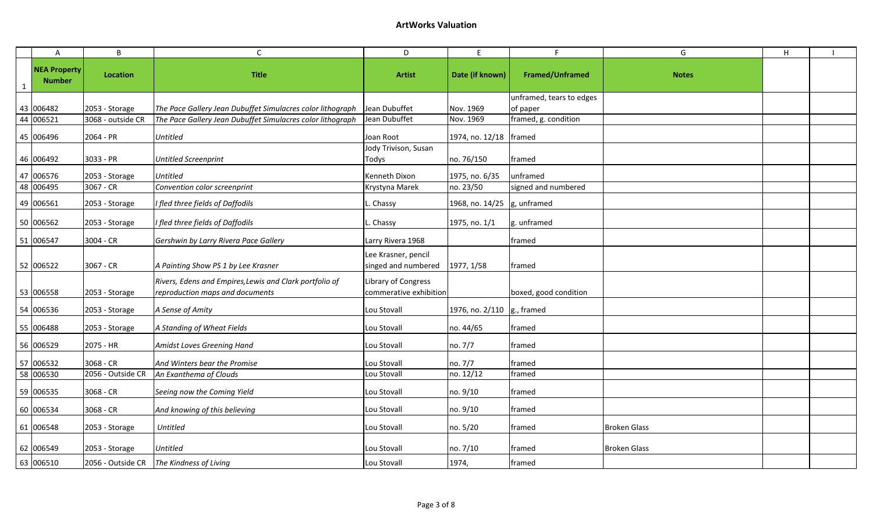### **ArtWorks Valuation**

|   | Α                                    | B                 | C                                                                                          | D                                             | E                      | F.                                   | G                   | H |  |
|---|--------------------------------------|-------------------|--------------------------------------------------------------------------------------------|-----------------------------------------------|------------------------|--------------------------------------|---------------------|---|--|
| 1 | <b>NEA Property</b><br><b>Number</b> | Location          | <b>Title</b>                                                                               | <b>Artist</b>                                 | Date (if known)        | <b>Framed/Unframed</b>               | <b>Notes</b>        |   |  |
|   | 43 006482                            | 2053 - Storage    | The Pace Gallery Jean Dubuffet Simulacres color lithograph                                 | Jean Dubuffet                                 | Nov. 1969              | unframed, tears to edges<br>of paper |                     |   |  |
|   | 44 006521                            | 3068 - outside CR | The Pace Gallery Jean Dubuffet Simulacres color lithograph                                 | Jean Dubuffet                                 | Nov. 1969              | framed, g. condition                 |                     |   |  |
|   | 45 006496                            | 2064 - PR         | <b>Untitled</b>                                                                            | Joan Root                                     | 1974, no. 12/18 framed |                                      |                     |   |  |
|   | 46 006492                            | 3033 - PR         | <b>Untitled Screenprint</b>                                                                | Jody Trivison, Susan<br>Todys                 | no. 76/150             | framed                               |                     |   |  |
|   | 47 006576                            | 2053 - Storage    | <b>Untitled</b>                                                                            | Kenneth Dixon                                 | 1975, no. 6/35         | unframed                             |                     |   |  |
|   | 48 006495                            | 3067 - CR         | Convention color screenprint                                                               | Krystyna Marek                                | no. 23/50              | signed and numbered                  |                     |   |  |
|   | 49 006561                            | 2053 - Storage    | I fled three fields of Daffodils                                                           | Chassy                                        | 1968, no. 14/25        | g, unframed                          |                     |   |  |
|   | 50 006562                            | 2053 - Storage    | I fled three fields of Daffodils                                                           | Chassy                                        | 1975, no. 1/1          | g. unframed                          |                     |   |  |
|   | 51 006547                            | 3004 - CR         | Gershwin by Larry Rivera Pace Gallery                                                      | Larry Rivera 1968                             |                        | framed                               |                     |   |  |
|   | 52 006522                            | 3067 - CR         | A Painting Show PS 1 by Lee Krasner                                                        | Lee Krasner, pencil<br>singed and numbered    | 1977, 1/58             | framed                               |                     |   |  |
|   | 53 006558                            | 2053 - Storage    | Rivers, Edens and Empires, Lewis and Clark portfolio of<br>reproduction maps and documents | Library of Congress<br>commerative exhibition |                        | boxed, good condition                |                     |   |  |
|   | 54 006536                            | 2053 - Storage    | A Sense of Amity                                                                           | Lou Stovall                                   | 1976, no. 2/110        | g., framed                           |                     |   |  |
|   | 55 006488                            | 2053 - Storage    | A Standing of Wheat Fields                                                                 | Lou Stovall                                   | no. 44/65              | framed                               |                     |   |  |
|   | 56 006529                            | 2075 - HR         | Amidst Loves Greening Hand                                                                 | Lou Stovall                                   | no. 7/7                | framed                               |                     |   |  |
|   | 57 006532                            | 3068 - CR         | And Winters bear the Promise                                                               | Lou Stovall                                   | no. 7/7                | framed                               |                     |   |  |
|   | 58 006530                            | 2056 - Outside CR | An Exanthema of Clouds                                                                     | Lou Stovall                                   | no. 12/12              | framed                               |                     |   |  |
|   | 59 006535                            | 3068 - CR         | Seeing now the Coming Yield                                                                | Lou Stovall                                   | no. 9/10               | framed                               |                     |   |  |
|   | 60 006534                            | 3068 - CR         | And knowing of this believing                                                              | Lou Stovall                                   | no. 9/10               | framed                               |                     |   |  |
|   | 61 006548                            | 2053 - Storage    | <b>Untitled</b>                                                                            | Lou Stovall                                   | no. 5/20               | framed                               | <b>Broken Glass</b> |   |  |
|   | 62 006549                            | 2053 - Storage    | <b>Untitled</b>                                                                            | Lou Stovall                                   | no. 7/10               | framed                               | <b>Broken Glass</b> |   |  |
|   | 63 006510                            | 2056 - Outside CR | The Kindness of Living                                                                     | Lou Stovall                                   | 1974,                  | framed                               |                     |   |  |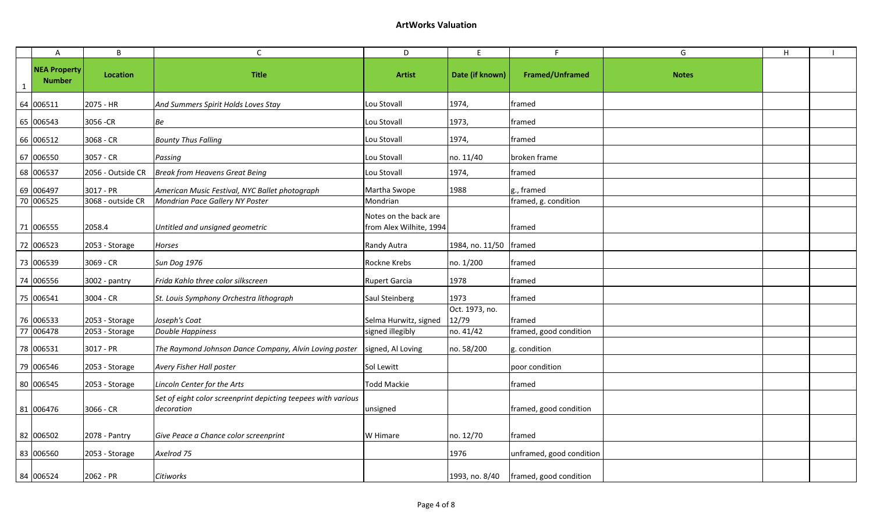| $\mathsf{A}$                         | B                 | $\mathsf{C}$                                                                | D                                                | E.                      | F                        | G            | H |  |
|--------------------------------------|-------------------|-----------------------------------------------------------------------------|--------------------------------------------------|-------------------------|--------------------------|--------------|---|--|
| <b>NEA Property</b><br><b>Number</b> | Location          | <b>Title</b>                                                                | <b>Artist</b>                                    | Date (if known)         | Framed/Unframed          | <b>Notes</b> |   |  |
| 64 006511                            | 2075 - HR         | And Summers Spirit Holds Loves Stay                                         | Lou Stovall                                      | 1974,                   | framed                   |              |   |  |
| 65 006543                            | 3056 - CR         | Be                                                                          | Lou Stovall                                      | 1973,                   | framed                   |              |   |  |
| 66 006512                            | 3068 - CR         | <b>Bounty Thus Falling</b>                                                  | Lou Stovall                                      | 1974,                   | framed                   |              |   |  |
| 67 006550                            | 3057 - CR         | Passing                                                                     | Lou Stovall                                      | no. 11/40               | broken frame             |              |   |  |
| 68 006537                            | 2056 - Outside CR | <b>Break from Heavens Great Being</b>                                       | Lou Stovall                                      | 1974,                   | framed                   |              |   |  |
| 69 006497                            | 3017 - PR         | American Music Festival, NYC Ballet photograph                              | Martha Swope                                     | 1988                    | g., framed               |              |   |  |
| 70 006525                            | 3068 - outside CR | Mondrian Pace Gallery NY Poster                                             | Mondrian                                         |                         | framed, g. condition     |              |   |  |
| 71 006555                            | 2058.4            | Untitled and unsigned geometric                                             | Notes on the back are<br>from Alex Wilhite, 1994 |                         | framed                   |              |   |  |
| 72 006523                            | 2053 - Storage    | Horses                                                                      | Randy Autra                                      | 1984, no. 11/50         | framed                   |              |   |  |
| 73 006539                            | 3069 - CR         | <b>Sun Dog 1976</b>                                                         | Rockne Krebs                                     | no. 1/200               | framed                   |              |   |  |
| 74 006556                            | 3002 - pantry     | Frida Kahlo three color silkscreen                                          | <b>Rupert Garcia</b>                             | 1978                    | framed                   |              |   |  |
| 75 006541                            | $3004 - CR$       | St. Louis Symphony Orchestra lithograph                                     | Saul Steinberg                                   | 1973                    | framed                   |              |   |  |
| 76 006533                            | 2053 - Storage    | Joseph's Coat                                                               | Selma Hurwitz, signed                            | Oct. 1973, no.<br>12/79 | framed                   |              |   |  |
| 77 006478                            | 2053 - Storage    | <b>Double Happiness</b>                                                     | signed illegibly                                 | no. 41/42               | framed, good condition   |              |   |  |
| 78 006531                            | 3017 - PR         | The Raymond Johnson Dance Company, Alvin Loving poster                      | signed, Al Loving                                | no. 58/200              | g. condition             |              |   |  |
| 79 006546                            | 2053 - Storage    | Avery Fisher Hall poster                                                    | Sol Lewitt                                       |                         | poor condition           |              |   |  |
| 80 006545                            | 2053 - Storage    | Lincoln Center for the Arts                                                 | <b>Todd Mackie</b>                               |                         | framed                   |              |   |  |
| 81 006476                            | 3066 - CR         | Set of eight color screenprint depicting teepees with various<br>decoration | unsigned                                         |                         | framed, good condition   |              |   |  |
| 82 006502                            | 2078 - Pantry     | Give Peace a Chance color screenprint                                       | W Himare                                         | no. 12/70               | framed                   |              |   |  |
| 83 006560                            | 2053 - Storage    | Axelrod 75                                                                  |                                                  | 1976                    | unframed, good condition |              |   |  |
| 84 006524                            | 2062 - PR         | Citiworks                                                                   |                                                  | 1993, no. 8/40          | framed, good condition   |              |   |  |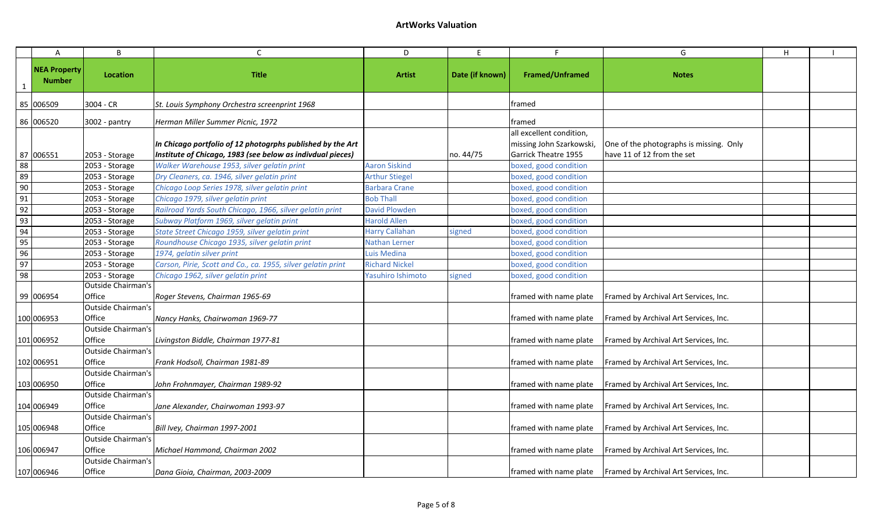|                 | $\overline{A}$                       | B                                   | $\mathsf{C}$                                                                                                             | D                     | E               |                                                                                     | G                                                                     | H |  |
|-----------------|--------------------------------------|-------------------------------------|--------------------------------------------------------------------------------------------------------------------------|-----------------------|-----------------|-------------------------------------------------------------------------------------|-----------------------------------------------------------------------|---|--|
|                 | <b>NEA Property</b><br><b>Number</b> | Location                            | <b>Title</b>                                                                                                             | <b>Artist</b>         | Date (if known) | <b>Framed/Unframed</b>                                                              | <b>Notes</b>                                                          |   |  |
|                 | 85 006509                            | 3004 - CR                           | St. Louis Symphony Orchestra screenprint 1968                                                                            |                       |                 | framed                                                                              |                                                                       |   |  |
|                 | 86 006520                            | 3002 - pantry                       | Herman Miller Summer Picnic, 1972                                                                                        |                       |                 | framed                                                                              |                                                                       |   |  |
|                 | 87 006551                            | 2053 - Storage                      | In Chicago portfolio of 12 photogrphs published by the Art<br>Institute of Chicago, 1983 (see below as indivdual pieces) |                       | no. 44/75       | all excellent condition,<br>missing John Szarkowski,<br><b>Garrick Theatre 1955</b> | One of the photographs is missing. Only<br>have 11 of 12 from the set |   |  |
| 88              |                                      | 2053 - Storage                      | Walker Warehouse 1953, silver gelatin print                                                                              | <b>Aaron Siskind</b>  |                 | boxed, good condition                                                               |                                                                       |   |  |
| 89              |                                      | 2053 - Storage                      | Dry Cleaners, ca. 1946, silver gelatin print                                                                             | <b>Arthur Stiegel</b> |                 | boxed, good condition                                                               |                                                                       |   |  |
| $\frac{90}{91}$ |                                      | 2053 - Storage                      | Chicago Loop Series 1978, silver gelatin print                                                                           | <b>Barbara Crane</b>  |                 | boxed, good condition                                                               |                                                                       |   |  |
|                 |                                      | 2053 - Storage                      | Chicago 1979, silver gelatin print                                                                                       | <b>Bob Thall</b>      |                 | boxed, good condition                                                               |                                                                       |   |  |
| $\frac{1}{92}$  |                                      | 2053 - Storage                      | Railroad Yards South Chicago, 1966, silver gelatin print                                                                 | <b>David Plowden</b>  |                 | boxed, good condition                                                               |                                                                       |   |  |
| 93              |                                      | 2053 - Storage                      | Subway Platform 1969, silver gelatin print                                                                               | <b>Harold Allen</b>   |                 | boxed, good condition                                                               |                                                                       |   |  |
| 94              |                                      | 2053 - Storage                      | State Street Chicago 1959, silver gelatin print                                                                          | <b>Harry Callahan</b> | signed          | boxed, good condition                                                               |                                                                       |   |  |
| 95              |                                      | 2053 - Storage                      | Roundhouse Chicago 1935, silver gelatin print                                                                            | Nathan Lerner         |                 | boxed, good condition                                                               |                                                                       |   |  |
| 96              |                                      | 2053 - Storage                      | 1974, gelatin silver print                                                                                               | Luis Medina           |                 | boxed, good condition                                                               |                                                                       |   |  |
| 97              |                                      | 2053 - Storage                      | Carson, Pirie, Scott and Co., ca. 1955, silver gelatin print                                                             | <b>Richard Nickel</b> |                 | boxed, good condition                                                               |                                                                       |   |  |
| 98              |                                      | 2053 - Storage                      | Chicago 1962, silver gelatin print                                                                                       | Yasuhiro Ishimoto     | signed          | boxed, good condition                                                               |                                                                       |   |  |
|                 | 99 006954                            | <b>Outside Chairman's</b><br>Office | Roger Stevens, Chairman 1965-69                                                                                          |                       |                 | framed with name plate                                                              | Framed by Archival Art Services, Inc.                                 |   |  |
|                 | 100 006953                           | <b>Outside Chairman's</b><br>Office | Nancy Hanks, Chairwoman 1969-77                                                                                          |                       |                 | framed with name plate                                                              | Framed by Archival Art Services, Inc.                                 |   |  |
|                 |                                      | <b>Outside Chairman's</b>           |                                                                                                                          |                       |                 |                                                                                     |                                                                       |   |  |
|                 | 101 006952                           | Office                              | Livingston Biddle, Chairman 1977-81                                                                                      |                       |                 | framed with name plate                                                              | Framed by Archival Art Services, Inc.                                 |   |  |
|                 | 102 006951                           | <b>Outside Chairman's</b><br>Office | Frank Hodsoll, Chairman 1981-89                                                                                          |                       |                 | framed with name plate                                                              | Framed by Archival Art Services, Inc.                                 |   |  |
|                 | 103 006950                           | Outside Chairman's<br>Office        | John Frohnmayer, Chairman 1989-92                                                                                        |                       |                 | framed with name plate                                                              | Framed by Archival Art Services, Inc.                                 |   |  |
|                 | 104 006949                           | <b>Outside Chairman's</b><br>Office | Jane Alexander, Chairwoman 1993-97                                                                                       |                       |                 | framed with name plate                                                              | Framed by Archival Art Services, Inc.                                 |   |  |
|                 | 105 006948                           | <b>Outside Chairman's</b><br>Office | Bill Ivey, Chairman 1997-2001                                                                                            |                       |                 | framed with name plate                                                              | Framed by Archival Art Services, Inc.                                 |   |  |
|                 | 106 006947                           | <b>Outside Chairman's</b><br>Office | Michael Hammond, Chairman 2002                                                                                           |                       |                 | framed with name plate                                                              | Framed by Archival Art Services, Inc.                                 |   |  |
|                 | 107 006946                           | <b>Outside Chairman's</b><br>Office | Dana Gioia, Chairman, 2003-2009                                                                                          |                       |                 |                                                                                     | framed with name plate   Framed by Archival Art Services, Inc.        |   |  |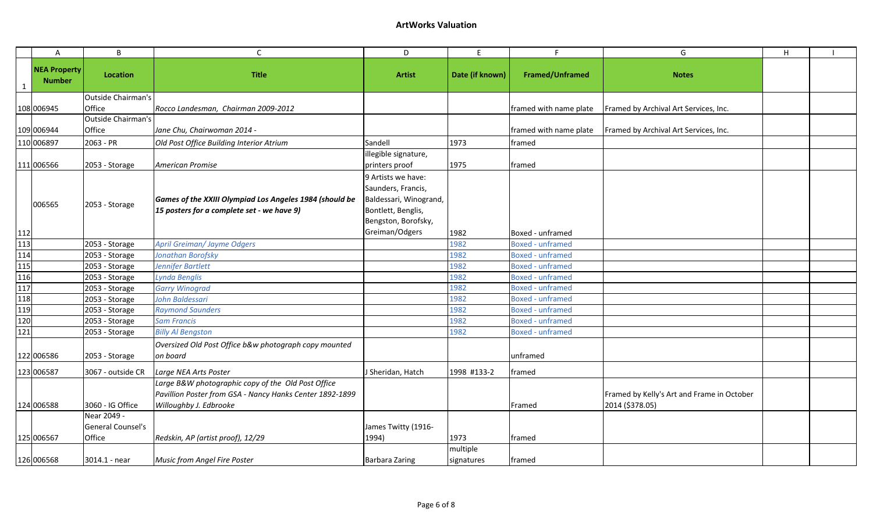|              | Α                                    | B                                                 | $\mathsf C$                                                                                                                              | D                                        | E                      | F.                      | G                                                             | H |  |
|--------------|--------------------------------------|---------------------------------------------------|------------------------------------------------------------------------------------------------------------------------------------------|------------------------------------------|------------------------|-------------------------|---------------------------------------------------------------|---|--|
| $\mathbf{1}$ | <b>NEA Property</b><br><b>Number</b> | Location                                          | <b>Title</b>                                                                                                                             | <b>Artist</b>                            | Date (if known)        | <b>Framed/Unframed</b>  | <b>Notes</b>                                                  |   |  |
|              |                                      | Outside Chairman's                                |                                                                                                                                          |                                          |                        |                         |                                                               |   |  |
|              | 108 006945                           | Office                                            | Rocco Landesman, Chairman 2009-2012                                                                                                      |                                          |                        | framed with name plate  | Framed by Archival Art Services, Inc.                         |   |  |
|              |                                      | Outside Chairman's                                |                                                                                                                                          |                                          |                        |                         |                                                               |   |  |
|              | 109 006944                           | Office                                            | Jane Chu, Chairwoman 2014 -                                                                                                              |                                          |                        | framed with name plate  | Framed by Archival Art Services, Inc.                         |   |  |
|              | 110 006897                           | 2063 - PR                                         | Old Post Office Building Interior Atrium                                                                                                 | Sandell                                  | 1973                   | framed                  |                                                               |   |  |
|              |                                      |                                                   |                                                                                                                                          | illegible signature,                     |                        |                         |                                                               |   |  |
|              | 111 006566                           | 2053 - Storage                                    | American Promise                                                                                                                         | printers proof                           | 1975                   | framed                  |                                                               |   |  |
|              |                                      |                                                   |                                                                                                                                          | 9 Artists we have:<br>Saunders, Francis, |                        |                         |                                                               |   |  |
|              |                                      |                                                   | Games of the XXIII Olympiad Los Angeles 1984 (should be                                                                                  | Baldessari, Winogrand,                   |                        |                         |                                                               |   |  |
|              | 006565                               | 2053 - Storage                                    | 15 posters for a complete set - we have 9)                                                                                               | Bontlett, Benglis,                       |                        |                         |                                                               |   |  |
|              |                                      |                                                   |                                                                                                                                          | Bengston, Borofsky,                      |                        |                         |                                                               |   |  |
| 112          |                                      |                                                   |                                                                                                                                          | Greiman/Odgers                           | 1982                   | Boxed - unframed        |                                                               |   |  |
| 113          |                                      | 2053 - Storage                                    | <b>April Greiman/Jayme Odgers</b>                                                                                                        |                                          | 1982                   | <b>Boxed - unframed</b> |                                                               |   |  |
| 114          |                                      | 2053 - Storage                                    | Jonathan Borofsky                                                                                                                        |                                          | 1982                   | <b>Boxed - unframed</b> |                                                               |   |  |
| 115          |                                      | 2053 - Storage                                    | Jennifer Bartlett                                                                                                                        |                                          | 1982                   | <b>Boxed - unframed</b> |                                                               |   |  |
| 116          |                                      | 2053 - Storage                                    | Lynda Benglis                                                                                                                            |                                          | 1982                   | <b>Boxed - unframed</b> |                                                               |   |  |
| 117          |                                      | 2053 - Storage                                    | <b>Garry Winograd</b>                                                                                                                    |                                          | 1982                   | <b>Boxed - unframed</b> |                                                               |   |  |
| 118          |                                      | 2053 - Storage                                    | John Baldessari                                                                                                                          |                                          | 1982                   | <b>Boxed - unframed</b> |                                                               |   |  |
| 119          |                                      | 2053 - Storage                                    | <b>Raymond Saunders</b>                                                                                                                  |                                          | 1982                   | <b>Boxed - unframed</b> |                                                               |   |  |
| 120          |                                      | 2053 - Storage                                    | <b>Sam Francis</b>                                                                                                                       |                                          | 1982                   | <b>Boxed - unframed</b> |                                                               |   |  |
| 121          |                                      | 2053 - Storage                                    | <b>Billy Al Bengston</b>                                                                                                                 |                                          | 1982                   | <b>Boxed - unframed</b> |                                                               |   |  |
|              | 122 006586                           | 2053 - Storage                                    | Oversized Old Post Office b&w photograph copy mounted<br>on board                                                                        |                                          |                        | unframed                |                                                               |   |  |
|              | 123 006587                           | 3067 - outside CR                                 | Large NEA Arts Poster                                                                                                                    | J Sheridan, Hatch                        | 1998 #133-2            | framed                  |                                                               |   |  |
|              | 124 006588                           | 3060 - IG Office                                  | Large B&W photographic copy of the Old Post Office<br>Pavillion Poster from GSA - Nancy Hanks Center 1892-1899<br>Willoughby J. Edbrooke |                                          |                        | Framed                  | Framed by Kelly's Art and Frame in October<br>2014 (\$378.05) |   |  |
|              | 125 006567                           | Near 2049 -<br><b>General Counsel's</b><br>Office | Redskin, AP (artist proof), 12/29                                                                                                        | James Twitty (1916-<br>1994)             | 1973                   | framed                  |                                                               |   |  |
|              | 126 006568                           | 3014.1 - near                                     | Music from Angel Fire Poster                                                                                                             | <b>Barbara Zaring</b>                    | multiple<br>signatures | framed                  |                                                               |   |  |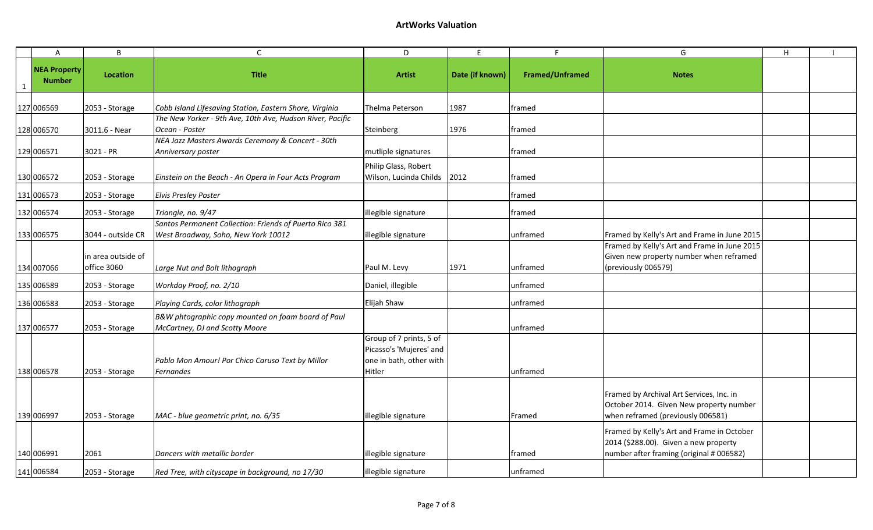| $\overline{A}$                       | B                                 | $\mathsf{C}$                                                                                   | D                                                                                       | E.              | F                      | G                                                                                                                               | H |  |
|--------------------------------------|-----------------------------------|------------------------------------------------------------------------------------------------|-----------------------------------------------------------------------------------------|-----------------|------------------------|---------------------------------------------------------------------------------------------------------------------------------|---|--|
| <b>NEA Property</b><br><b>Number</b> | Location                          | <b>Title</b>                                                                                   | <b>Artist</b>                                                                           | Date (if known) | <b>Framed/Unframed</b> | <b>Notes</b>                                                                                                                    |   |  |
| 127 006569                           | 2053 - Storage                    | Cobb Island Lifesaving Station, Eastern Shore, Virginia                                        | Thelma Peterson                                                                         | 1987            | framed                 |                                                                                                                                 |   |  |
| 128 006570                           | 3011.6 - Near                     | The New Yorker - 9th Ave, 10th Ave, Hudson River, Pacific<br>Ocean - Poster                    | Steinberg                                                                               | 1976            | framed                 |                                                                                                                                 |   |  |
| 129 006571                           | 3021 - PR                         | NEA Jazz Masters Awards Ceremony & Concert - 30th<br>Anniversary poster                        | mutliple signatures                                                                     |                 | framed                 |                                                                                                                                 |   |  |
| 130 006572                           | 2053 - Storage                    | Einstein on the Beach - An Opera in Four Acts Program                                          | Philip Glass, Robert<br>Wilson, Lucinda Childs                                          | 2012            | framed                 |                                                                                                                                 |   |  |
| 131 006573                           | 2053 - Storage                    | <b>Elvis Presley Poster</b>                                                                    |                                                                                         |                 | framed                 |                                                                                                                                 |   |  |
| 132 006574                           | 2053 - Storage                    | Triangle, no. 9/47                                                                             | illegible signature                                                                     |                 | framed                 |                                                                                                                                 |   |  |
| 133 006575                           | 3044 - outside CR                 | Santos Permanent Collection: Friends of Puerto Rico 381<br>West Broadway, Soho, New York 10012 | illegible signature                                                                     |                 | unframed               | Framed by Kelly's Art and Frame in June 2015                                                                                    |   |  |
| 134 007066                           | in area outside of<br>office 3060 | Large Nut and Bolt lithograph                                                                  | Paul M. Levy                                                                            | 1971            | unframed               | Framed by Kelly's Art and Frame in June 2015<br>Given new property number when reframed<br>previously 006579)                   |   |  |
| 135 006589                           | 2053 - Storage                    | Workday Proof, no. 2/10                                                                        | Daniel, illegible                                                                       |                 | unframed               |                                                                                                                                 |   |  |
| 136 006583                           | 2053 - Storage                    | Playing Cards, color lithograph                                                                | Elijah Shaw                                                                             |                 | unframed               |                                                                                                                                 |   |  |
| 137 006577                           | 2053 - Storage                    | B&W phtographic copy mounted on foam board of Paul<br>McCartney, DJ and Scotty Moore           |                                                                                         |                 | unframed               |                                                                                                                                 |   |  |
| 138 006578                           | 2053 - Storage                    | Pablo Mon Amour! Por Chico Caruso Text by Millor<br>Fernandes                                  | Group of 7 prints, 5 of<br>Picasso's 'Mujeres' and<br>one in bath, other with<br>Hitler |                 | unframed               |                                                                                                                                 |   |  |
| 139 006997                           | 2053 - Storage                    | MAC - blue geometric print, no. 6/35                                                           | illegible signature                                                                     |                 | Framed                 | Framed by Archival Art Services, Inc. in<br>October 2014. Given New property number<br>when reframed (previously 006581)        |   |  |
| 140 006991                           | 2061                              | Dancers with metallic border                                                                   | illegible signature                                                                     |                 | framed                 | Framed by Kelly's Art and Frame in October<br>2014 (\$288.00). Given a new property<br>number after framing (original # 006582) |   |  |
| 141 006584                           | 2053 - Storage                    | Red Tree, with cityscape in background, no 17/30                                               | illegible signature                                                                     |                 | unframed               |                                                                                                                                 |   |  |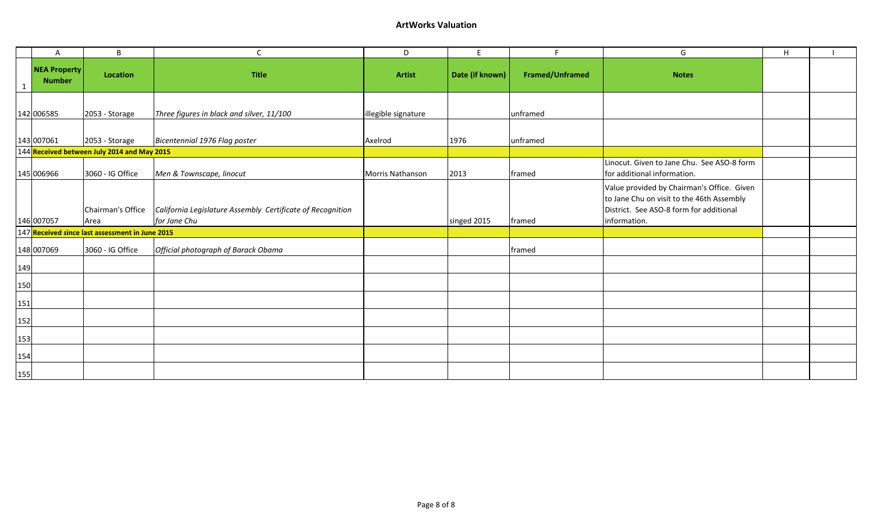### **ArtWorks Valuation**

|     | A                                    | B                                               | C                                                                          | D                   | E               | F.                     | G                                                                                                                                                  | $\mathsf H$ |  |
|-----|--------------------------------------|-------------------------------------------------|----------------------------------------------------------------------------|---------------------|-----------------|------------------------|----------------------------------------------------------------------------------------------------------------------------------------------------|-------------|--|
|     | <b>NEA Property</b><br><b>Number</b> | <b>Location</b>                                 | <b>Title</b>                                                               | <b>Artist</b>       | Date (if known) | <b>Framed/Unframed</b> | <b>Notes</b>                                                                                                                                       |             |  |
|     | 142 006585                           | 2053 - Storage                                  | Three figures in black and silver, 11/100                                  | illegible signature |                 | unframed               |                                                                                                                                                    |             |  |
|     | 143 007061                           | 2053 - Storage                                  | Bicentennial 1976 Flag poster                                              | Axelrod             | 1976            | unframed               |                                                                                                                                                    |             |  |
|     |                                      | 144 Received between July 2014 and May 2015     |                                                                            |                     |                 |                        |                                                                                                                                                    |             |  |
|     | 145 006966                           | 3060 - IG Office                                | Men & Townscape, linocut                                                   | Morris Nathanson    | 2013            | framed                 | Linocut. Given to Jane Chu. See ASO-8 form<br>for additional information.                                                                          |             |  |
|     | 146 007057                           | Chairman's Office<br>Area                       | California Legislature Assembly Certificate of Recognition<br>for Jane Chu |                     | singed 2015     | framed                 | Value provided by Chairman's Office. Given<br>to Jane Chu on visit to the 46th Assembly<br>District. See ASO-8 form for additional<br>information. |             |  |
|     |                                      | 147 Received since last assessment in June 2015 |                                                                            |                     |                 |                        |                                                                                                                                                    |             |  |
|     | 148 007069                           | 3060 - IG Office                                | Official photograph of Barack Obama                                        |                     |                 | framed                 |                                                                                                                                                    |             |  |
| 149 |                                      |                                                 |                                                                            |                     |                 |                        |                                                                                                                                                    |             |  |
| 150 |                                      |                                                 |                                                                            |                     |                 |                        |                                                                                                                                                    |             |  |
| 151 |                                      |                                                 |                                                                            |                     |                 |                        |                                                                                                                                                    |             |  |
| 152 |                                      |                                                 |                                                                            |                     |                 |                        |                                                                                                                                                    |             |  |
| 153 |                                      |                                                 |                                                                            |                     |                 |                        |                                                                                                                                                    |             |  |
| 154 |                                      |                                                 |                                                                            |                     |                 |                        |                                                                                                                                                    |             |  |
| 155 |                                      |                                                 |                                                                            |                     |                 |                        |                                                                                                                                                    |             |  |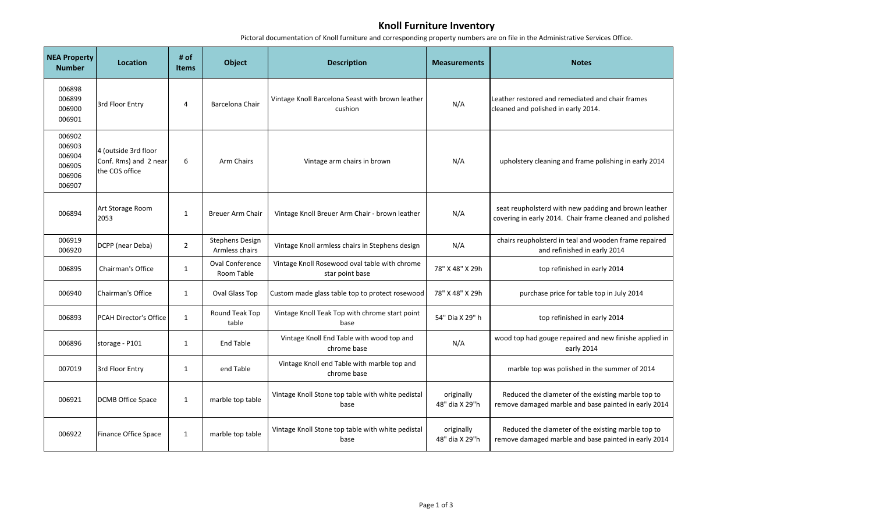# **Knoll Furniture Inventory**

Pictoral documentation of Knoll furniture and corresponding property numbers are on file in the Administrative Services Office.

 $\sim$ 

| <b>NEA Property</b><br><b>Number</b>                                                                                                   | <b>Location</b>                                                 | $#$ of<br><b>Items</b>       | <b>Object</b>                                                                                              | <b>Description</b>                                               | <b>Measurements</b>          | <b>Notes</b>                                                                                                     |
|----------------------------------------------------------------------------------------------------------------------------------------|-----------------------------------------------------------------|------------------------------|------------------------------------------------------------------------------------------------------------|------------------------------------------------------------------|------------------------------|------------------------------------------------------------------------------------------------------------------|
| 006898<br>006899<br>006900<br>006901                                                                                                   | 3rd Floor Entry                                                 | 4                            | Barcelona Chair                                                                                            | Vintage Knoll Barcelona Seast with brown leather<br>cushion      | N/A                          | Leather restored and remediated and chair frames<br>cleaned and polished in early 2014.                          |
| 006902<br>006903<br>006904<br>006905<br>006906<br>006907                                                                               | 4 (outside 3rd floor<br>Conf. Rms) and 2 near<br>the COS office | 6<br>Arm Chairs              |                                                                                                            | Vintage arm chairs in brown                                      | N/A                          | upholstery cleaning and frame polishing in early 2014                                                            |
| 006894                                                                                                                                 | Art Storage Room<br>2053                                        | $\mathbf{1}$                 | Breuer Arm Chair                                                                                           | Vintage Knoll Breuer Arm Chair - brown leather                   | N/A                          | seat reupholsterd with new padding and brown leather<br>covering in early 2014. Chair frame cleaned and polished |
| 006919<br>006920                                                                                                                       | DCPP (near Deba)                                                | $\overline{2}$               | <b>Stephens Design</b><br>Armless chairs                                                                   | Vintage Knoll armless chairs in Stephens design                  | N/A                          | chairs reupholsterd in teal and wooden frame repaired<br>and refinished in early 2014                            |
| 006895                                                                                                                                 | Chairman's Office                                               | $\mathbf{1}$                 | <b>Oval Conference</b><br>Room Table                                                                       | Vintage Knoll Rosewood oval table with chrome<br>star point base | 78" X 48" X 29h              | top refinished in early 2014                                                                                     |
| 006940                                                                                                                                 | Chairman's Office                                               | $\mathbf{1}$                 | Oval Glass Top                                                                                             | Custom made glass table top to protect rosewood                  | 78" X 48" X 29h              | purchase price for table top in July 2014                                                                        |
| 006893                                                                                                                                 | <b>PCAH Director's Office</b>                                   | $\mathbf{1}$                 | Round Teak Top<br>table                                                                                    | Vintage Knoll Teak Top with chrome start point<br>base           | 54" Dia X 29" h              | top refinished in early 2014                                                                                     |
| 006896                                                                                                                                 | storage - P101                                                  | $\mathbf{1}$                 | <b>End Table</b>                                                                                           | Vintage Knoll End Table with wood top and<br>chrome base         | N/A                          | wood top had gouge repaired and new finishe applied in<br>early 2014                                             |
| 007019                                                                                                                                 | 3rd Floor Entry                                                 | $\mathbf{1}$                 | end Table                                                                                                  | Vintage Knoll end Table with marble top and<br>chrome base       |                              | marble top was polished in the summer of 2014                                                                    |
| 006921                                                                                                                                 | <b>DCMB Office Space</b>                                        | $\mathbf{1}$                 | marble top table                                                                                           | Vintage Knoll Stone top table with white pedistal<br>base        | originally<br>48" dia X 29"h | Reduced the diameter of the existing marble top to<br>remove damaged marble and base painted in early 2014       |
| Vintage Knoll Stone top table with white pedistal<br>006922<br><b>Finance Office Space</b><br>$\mathbf{1}$<br>marble top table<br>base |                                                                 | originally<br>48" dia X 29"h | Reduced the diameter of the existing marble top to<br>remove damaged marble and base painted in early 2014 |                                                                  |                              |                                                                                                                  |

and the control of the control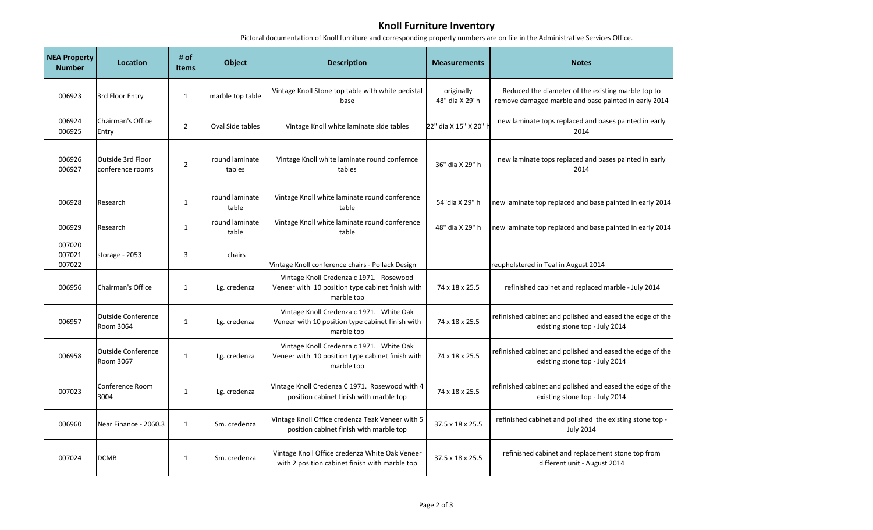## **Knoll Furniture Inventory**

Pictoral documentation of Knoll furniture and corresponding property numbers are on file in the Administrative Services Office.

| <b>NEA Property</b><br><b>Number</b> | <b>Location</b>                        | # of<br><b>Items</b> | <b>Object</b>            | <b>Description</b>                                                                                         | <b>Measurements</b>          | <b>Notes</b>                                                                                               |
|--------------------------------------|----------------------------------------|----------------------|--------------------------|------------------------------------------------------------------------------------------------------------|------------------------------|------------------------------------------------------------------------------------------------------------|
| 006923                               | 3rd Floor Entry                        | $\mathbf{1}$         | marble top table         | Vintage Knoll Stone top table with white pedistal<br>base                                                  | originally<br>48" dia X 29"h | Reduced the diameter of the existing marble top to<br>remove damaged marble and base painted in early 2014 |
| 006924<br>006925                     | <b>Chairman's Office</b><br>Entry      | $\overline{2}$       | Oval Side tables         | Vintage Knoll white laminate side tables                                                                   | 22" dia X 15" X 20" l        | new laminate tops replaced and bases painted in early<br>2014                                              |
| 006926<br>006927                     | Outside 3rd Floor<br>conference rooms  | $\overline{2}$       | round laminate<br>tables | Vintage Knoll white laminate round confernce<br>tables                                                     | 36" dia X 29" h              | new laminate tops replaced and bases painted in early<br>2014                                              |
| 006928                               | Research                               | $\mathbf{1}$         | round laminate<br>table  | Vintage Knoll white laminate round conference<br>table                                                     | 54"dia X 29" h               | new laminate top replaced and base painted in early 2014                                                   |
| 006929                               | Research                               | $\mathbf{1}$         | round laminate<br>table  | Vintage Knoll white laminate round conference<br>table                                                     | 48" dia X 29" h              | new laminate top replaced and base painted in early 2014                                                   |
| 007020<br>007021<br>007022           | storage - 2053                         | 3                    | chairs                   | Vintage Knoll conference chairs - Pollack Design                                                           |                              | reupholstered in Teal in August 2014                                                                       |
| 006956                               | Chairman's Office                      | $\mathbf{1}$         | Lg. credenza             | Vintage Knoll Credenza c 1971. Rosewood<br>Veneer with 10 position type cabinet finish with<br>marble top  | 74 x 18 x 25.5               | refinished cabinet and replaced marble - July 2014                                                         |
| 006957                               | <b>Outside Conference</b><br>Room 3064 | $\mathbf{1}$         | Lg. credenza             | Vintage Knoll Credenza c 1971. White Oak<br>Veneer with 10 position type cabinet finish with<br>marble top | 74 x 18 x 25.5               | refinished cabinet and polished and eased the edge of the<br>existing stone top - July 2014                |
| 006958                               | <b>Outside Conference</b><br>Room 3067 | $\mathbf{1}$         | Lg. credenza             | Vintage Knoll Credenza c 1971. White Oak<br>Veneer with 10 position type cabinet finish with<br>marble top | 74 x 18 x 25.5               | refinished cabinet and polished and eased the edge of the<br>existing stone top - July 2014                |
| 007023                               | Conference Room<br>3004                | $\mathbf{1}$         | Lg. credenza             | Vintage Knoll Credenza C 1971. Rosewood with 4<br>position cabinet finish with marble top                  | 74 x 18 x 25.5               | refinished cabinet and polished and eased the edge of the<br>existing stone top - July 2014                |
| 006960                               | Near Finance - 2060.3                  | $\mathbf{1}$         | Sm. credenza             | Vintage Knoll Office credenza Teak Veneer with 5<br>position cabinet finish with marble top                | 37.5 x 18 x 25.5             | refinished cabinet and polished the existing stone top -<br><b>July 2014</b>                               |
| 007024                               | <b>DCMB</b>                            | 1                    | Sm. credenza             | Vintage Knoll Office credenza White Oak Veneer<br>with 2 position cabinet finish with marble top           | 37.5 x 18 x 25.5             | refinished cabinet and replacement stone top from<br>different unit - August 2014                          |